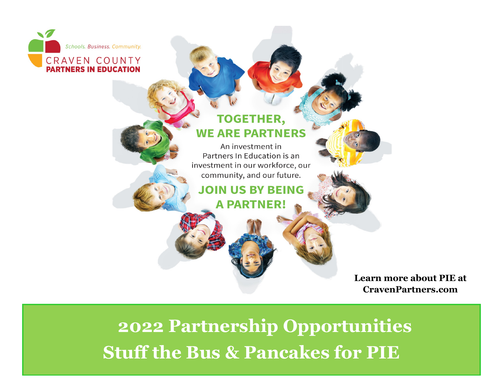

# **TOGETHER, WE ARE PARTNERS**

An investment in Partners In Education is an investment in our workforce, our community, and our future.

**JOIN US BY BEING A PARTNER!** 

> **Learn more about PIE at CravenPartners.com**

 **2022 Partnership Opportunities Stuff the Bus & Pancakes for PIE**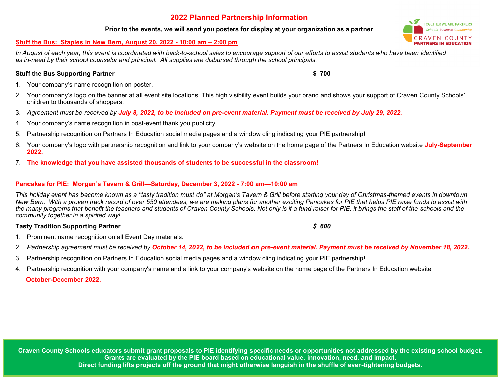## **2022 Planned Partnership Information**

#### **Prior to the events, we will send you posters for display at your organization as a partner**

#### **Stuff the Bus: Staples in New Bern, August 20, 2022 - 10:00 am – 2:00 pm**

*In August of each year, this event is coordinated with back-to-school sales to encourage support of our efforts to assist students who have been identified as in-need by their school counselor and principal. All supplies are disbursed through the school principals.*

### **Stuff the Bus Supporting Partner \$ 700**

- 1. Your company's name recognition on poster.
- 2. Your company's logo on the banner at all event site locations. This high visibility event builds your brand and shows your support of Craven County Schools' children to thousands of shoppers.
- 3. *Agreement must be received by July 8, 2022, to be included on pre-event material. Payment must be received by July 29, 2022.*
- 4. Your company's name recognition in post-event thank you publicity.
- 5. Partnership recognition on Partners In Education social media pages and a window cling indicating your PIE partnership!
- 6. Your company's logo with partnership recognition and link to your company's website on the home page of the Partners In Education website **July-September 2022.**
- 7. **The knowledge that you have assisted thousands of students to be successful in the classroom!**

#### **Pancakes for PIE: Morgan's Tavern & Grill—Saturday, December 3, 2022 - 7:00 am—10:00 am**

*This holiday event has become known as a "tasty tradition must do" at Morgan's Tavern & Grill before starting your day of Christmas-themed events in downtown New Bern. With a proven track record of over 550 attendees, we are making plans for another exciting Pancakes for PIE that helps PIE raise funds to assist with the many programs that benefit the teachers and students of Craven County Schools. Not only is it a fund raiser for PIE, it brings the staff of the schools and the community together in a spirited way!* 

### **Tasty Tradition Supporting Partner** *\$ 600*

- 1. Prominent name recognition on all Event Day materials.
- 2. *Partnership agreement must be received by October 14, 2022, to be included on pre-event material. Payment must be received by November 18, 2022.*
- 3. Partnership recognition on Partners In Education social media pages and a window cling indicating your PIE partnership!
- 4. Partnership recognition with your company's name and a link to your company's website on the home page of the Partners In Education website

**October-December 2022.**

**Craven County Schools educators submit grant proposals to PIE identifying specific needs or opportunities not addressed by the existing school budget. Grants are evaluated by the PIE board based on educational value, innovation, need, and impact. Direct funding lifts projects off the ground that might otherwise languish in the shuffle of ever-tightening budgets.**